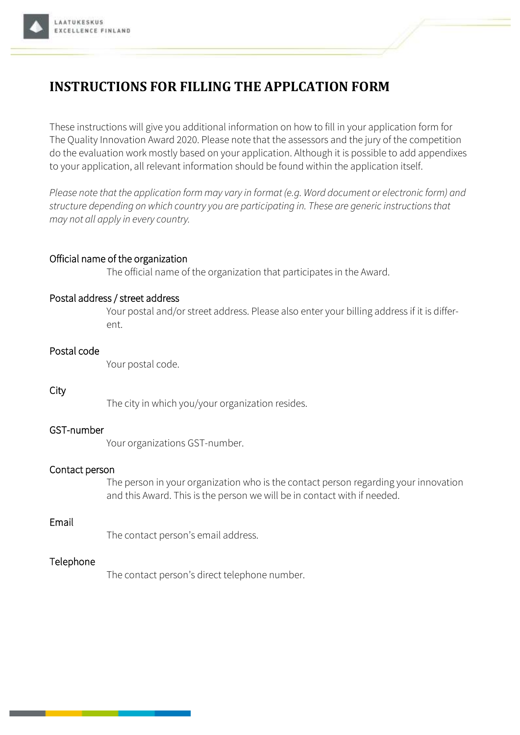# **INSTRUCTIONS FOR FILLING THE APPLCATION FORM**

These instructions will give you additional information on how to fill in your application form for The Quality Innovation Award 2020. Please note that the assessors and the jury of the competition do the evaluation work mostly based on your application. Although it is possible to add appendixes to your application, all relevant information should be found within the application itself.

*Please note that the application form may vary in format (e.g. Word document or electronic form) and structure depending on which country you are participating in. These are generic instructions that may not all apply in every country.*

# Official name of the organization

The official name of the organization that participates in the Award.

## Postal address / street address

Your postal and/or street address. Please also enter your billing address if it is different.

## Postal code

Your postal code.

## **City**

The city in which you/your organization resides.

## GST-number

Your organizations GST-number.

## Contact person

The person in your organization who is the contact person regarding your innovation and this Award. This is the person we will be in contact with if needed.

## Email

The contact person's email address.

# Telephone

The contact person's direct telephone number.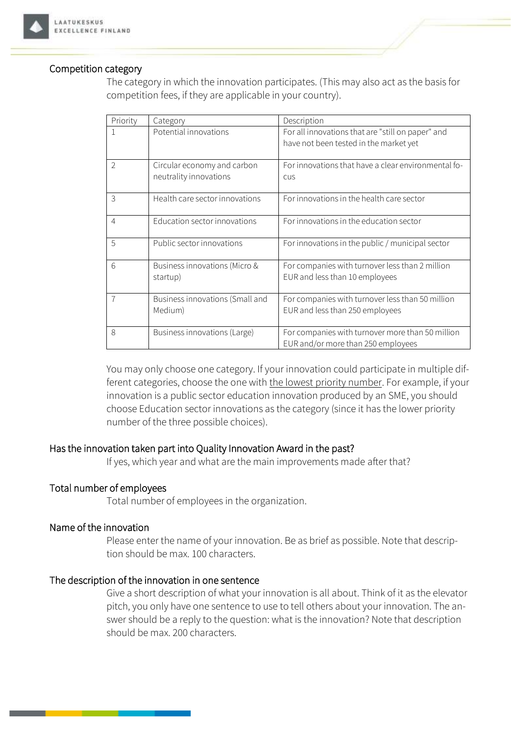

## Competition category

The category in which the innovation participates. (This may also act as the basis for competition fees, if they are applicable in your country).

| Priority       | Category                                              | Description                                                                                 |
|----------------|-------------------------------------------------------|---------------------------------------------------------------------------------------------|
|                | Potential innovations                                 | For all innovations that are "still on paper" and<br>have not been tested in the market yet |
| $\overline{2}$ | Circular economy and carbon<br>neutrality innovations | For innovations that have a clear environmental fo-<br><b>CUS</b>                           |
| 3              | Health care sector innovations                        | For innovations in the health care sector                                                   |
| $\overline{4}$ | Education sector innovations                          | For innovations in the education sector                                                     |
| 5              | Public sector innovations                             | For innovations in the public / municipal sector                                            |
| 6              | Business innovations (Micro &<br>startup)             | For companies with turnover less than 2 million<br>EUR and less than 10 employees           |
|                | Business innovations (Small and<br>Medium)            | For companies with turnover less than 50 million<br>EUR and less than 250 employees         |
| 8              | Business innovations (Large)                          | For companies with turnover more than 50 million<br>EUR and/or more than 250 employees      |

You may only choose one category. If your innovation could participate in multiple different categories, choose the one with the lowest priority number. For example, if your innovation is a public sector education innovation produced by an SME, you should choose Education sector innovations as the category (since it has the lower priority number of the three possible choices).

## Has the innovation taken part into Quality Innovation Award in the past?

If yes, which year and what are the main improvements made after that?

## Total number of employees

Total number of employees in the organization.

## Name of the innovation

Please enter the name of your innovation. Be as brief as possible. Note that description should be max. 100 characters.

## The description of the innovation in one sentence

Give a short description of what your innovation is all about. Think of it as the elevator pitch, you only have one sentence to use to tell others about your innovation. The answer should be a reply to the question: what is the innovation? Note that description should be max. 200 characters.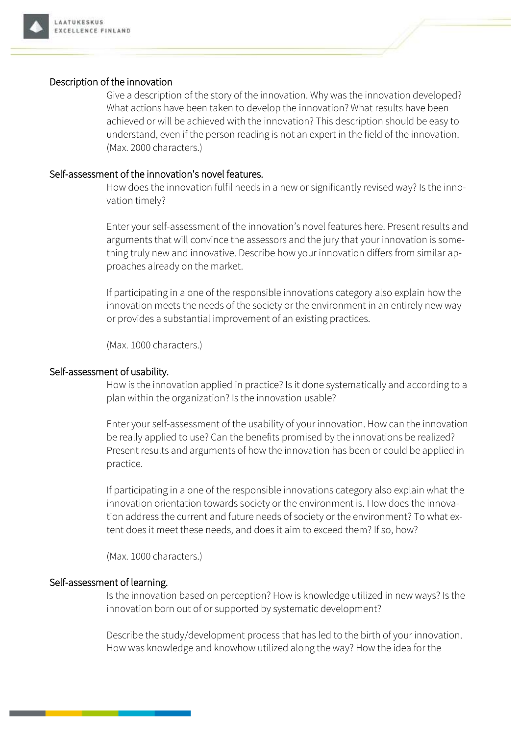

## Description of the innovation

Give a description of the story of the innovation. Why was the innovation developed? What actions have been taken to develop the innovation? What results have been achieved or will be achieved with the innovation? This description should be easy to understand, even if the person reading is not an expert in the field of the innovation. (Max. 2000 characters.)

#### Self-assessment of the innovation's novel features.

How does the innovation fulfil needs in a new or significantly revised way? Is the innovation timely?

Enter your self-assessment of the innovation's novel features here. Present results and arguments that will convince the assessors and the jury that your innovation is something truly new and innovative. Describe how your innovation differs from similar approaches already on the market.

If participating in a one of the responsible innovations category also explain how the innovation meets the needs of the society or the environment in an entirely new way or provides a substantial improvement of an existing practices.

(Max. 1000 characters.)

#### Self-assessment of usability.

How is the innovation applied in practice? Is it done systematically and according to a plan within the organization? Is the innovation usable?

Enter your self-assessment of the usability of your innovation. How can the innovation be really applied to use? Can the benefits promised by the innovations be realized? Present results and arguments of how the innovation has been or could be applied in practice.

If participating in a one of the responsible innovations category also explain what the innovation orientation towards society or the environment is. How does the innovation address the current and future needs of society or the environment? To what extent does it meet these needs, and does it aim to exceed them? If so, how?

(Max. 1000 characters.)

#### Self-assessment of learning.

Is the innovation based on perception? How is knowledge utilized in new ways? Is the innovation born out of or supported by systematic development?

Describe the study/development process that has led to the birth of your innovation. How was knowledge and knowhow utilized along the way? How the idea for the